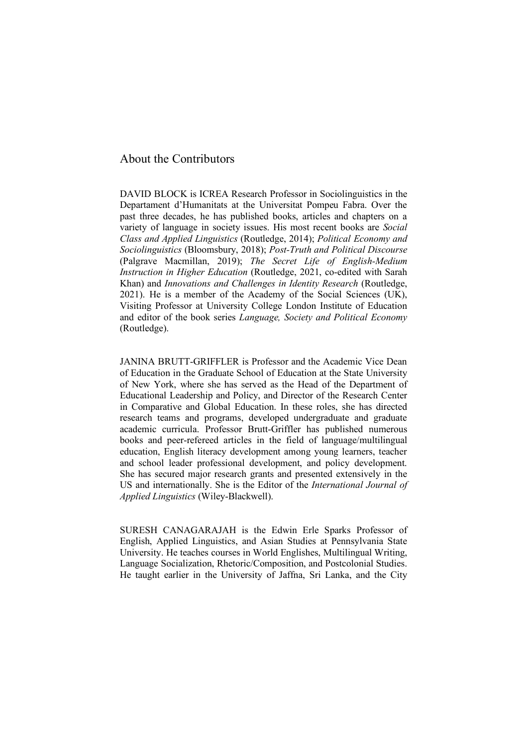DAVID BLOCK is ICREA Research Professor in Sociolinguistics in the Departament d'Humanitats at the Universitat Pompeu Fabra. Over the past three decades, he has published books, articles and chapters on a variety of language in society issues. His most recent books are *Social Class and Applied Linguistics* (Routledge, 2014); *Political Economy and Sociolinguistics* (Bloomsbury, 2018); *Post-Truth and Political Discourse* (Palgrave Macmillan, 2019); *The Secret Life of English-Medium Instruction in Higher Education* (Routledge, 2021, co-edited with Sarah Khan) and *Innovations and Challenges in Identity Research* (Routledge, 2021). He is a member of the Academy of the Social Sciences (UK), Visiting Professor at University College London Institute of Education and editor of the book series *Language, Society and Political Economy* (Routledge).

JANINA BRUTT-GRIFFLER is Professor and the Academic Vice Dean of Education in the Graduate School of Education at the State University of New York, where she has served as the Head of the Department of Educational Leadership and Policy, and Director of the Research Center in Comparative and Global Education. In these roles, she has directed research teams and programs, developed undergraduate and graduate academic curricula. Professor Brutt-Griffler has published numerous books and peer-refereed articles in the field of language/multilingual education, English literacy development among young learners, teacher and school leader professional development, and policy development. She has secured major research grants and presented extensively in the US and internationally. She is the Editor of the *International Journal of Applied Linguistics* (Wiley-Blackwell).

SURESH CANAGARAJAH is the Edwin Erle Sparks Professor of English, Applied Linguistics, and Asian Studies at Pennsylvania State University. He teaches courses in World Englishes, Multilingual Writing, Language Socialization, Rhetoric/Composition, and Postcolonial Studies. He taught earlier in the University of Jaffna, Sri Lanka, and the City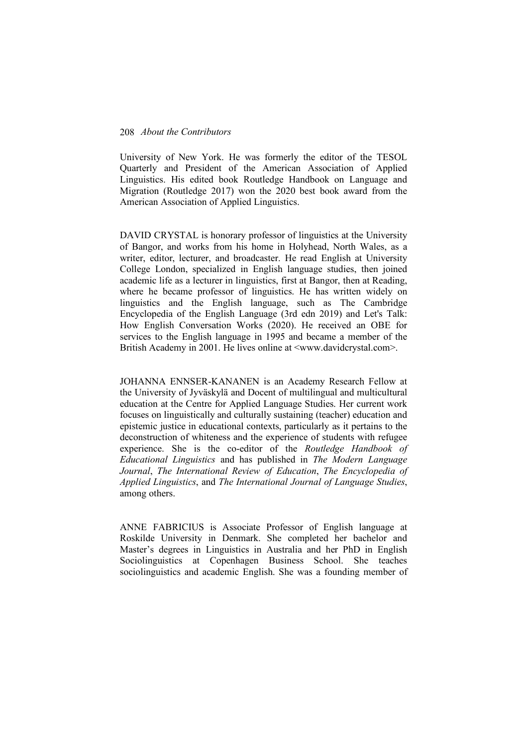University of New York. He was formerly the editor of the TESOL Quarterly and President of the American Association of Applied Linguistics. His edited book Routledge Handbook on Language and Migration (Routledge 2017) won the 2020 best book award from the American Association of Applied Linguistics.

DAVID CRYSTAL is honorary professor of linguistics at the University of Bangor, and works from his home in Holyhead, North Wales, as a writer, editor, lecturer, and broadcaster. He read English at University College London, specialized in English language studies, then joined academic life as a lecturer in linguistics, first at Bangor, then at Reading, where he became professor of linguistics. He has written widely on linguistics and the English language, such as The Cambridge Encyclopedia of the English Language (3rd edn 2019) and Let's Talk: How English Conversation Works (2020). He received an OBE for services to the English language in 1995 and became a member of the British Academy in 2001. He lives online at <www.davidcrystal.com>.

JOHANNA ENNSER-KANANEN is an Academy Research Fellow at the University of Jyväskylä and Docent of multilingual and multicultural education at the Centre for Applied Language Studies. Her current work focuses on linguistically and culturally sustaining (teacher) education and epistemic justice in educational contexts, particularly as it pertains to the deconstruction of whiteness and the experience of students with refugee experience. She is the co-editor of the *Routledge Handbook of Educational Linguistics* and has published in *The Modern Language Journal*, *The International Review of Education*, *The Encyclopedia of Applied Linguistics*, and *The International Journal of Language Studies*, among others.

ANNE FABRICIUS is Associate Professor of English language at Roskilde University in Denmark. She completed her bachelor and Master's degrees in Linguistics in Australia and her PhD in English Sociolinguistics at Copenhagen Business School. She teaches sociolinguistics and academic English. She was a founding member of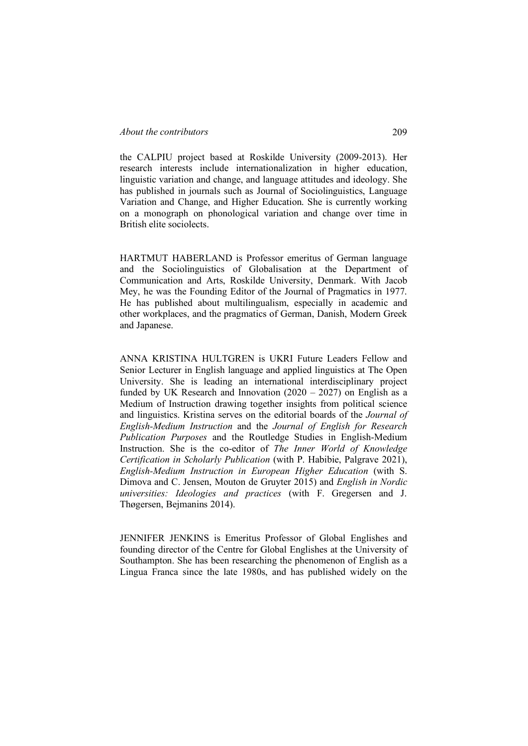the CALPIU project based at Roskilde University (2009-2013). Her research interests include internationalization in higher education, linguistic variation and change, and language attitudes and ideology. She has published in journals such as Journal of Sociolinguistics, Language Variation and Change, and Higher Education. She is currently working on a monograph on phonological variation and change over time in British elite sociolects.

HARTMUT HABERLAND is Professor emeritus of German language and the Sociolinguistics of Globalisation at the Department of Communication and Arts, Roskilde University, Denmark. With Jacob Mey, he was the Founding Editor of the Journal of Pragmatics in 1977. He has published about multilingualism, especially in academic and other workplaces, and the pragmatics of German, Danish, Modern Greek and Japanese.

ANNA KRISTINA HULTGREN is UKRI Future Leaders Fellow and Senior Lecturer in English language and applied linguistics at The Open University. She is leading an international interdisciplinary project funded by UK Research and Innovation  $(2020 - 2027)$  on English as a Medium of Instruction drawing together insights from political science and linguistics. Kristina serves on the editorial boards of the *Journal of English-Medium Instruction* and the *Journal of English for Research Publication Purposes* and the Routledge Studies in English-Medium Instruction. She is the co-editor of *The Inner World of Knowledge Certification in Scholarly Publication* (with P. Habibie, Palgrave 2021), *English-Medium Instruction in European Higher Education* (with S. Dimova and C. Jensen, Mouton de Gruyter 2015) and *English in Nordic universities: Ideologies and practices* (with F. Gregersen and J. Thøgersen, Bejmanins 2014).

JENNIFER JENKINS is Emeritus Professor of Global Englishes and founding director of the Centre for Global Englishes at the University of Southampton. She has been researching the phenomenon of English as a Lingua Franca since the late 1980s, and has published widely on the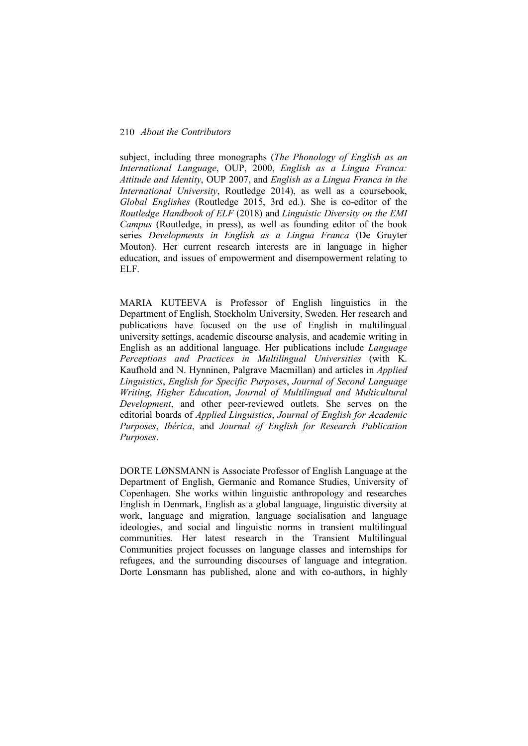subject, including three monographs (*The Phonology of English as an International Language*, OUP, 2000, *English as a Lingua Franca: Attitude and Identity*, OUP 2007, and *English as a Lingua Franca in the International University*, Routledge 2014), as well as a coursebook, *Global Englishes* (Routledge 2015, 3rd ed.). She is co-editor of the *Routledge Handbook of ELF* (2018) and *Linguistic Diversity on the EMI Campus* (Routledge, in press), as well as founding editor of the book series *Developments in English as a Lingua Franca* (De Gruyter Mouton). Her current research interests are in language in higher education, and issues of empowerment and disempowerment relating to ELF.

MARIA KUTEEVA is Professor of English linguistics in the Department of English, Stockholm University, Sweden. Her research and publications have focused on the use of English in multilingual university settings, academic discourse analysis, and academic writing in English as an additional language. Her publications include *Language Perceptions and Practices in Multilingual Universities* (with K. Kaufhold and N. Hynninen, Palgrave Macmillan) and articles in *Applied Linguistics*, *English for Specific Purposes*, *Journal of Second Language Writing*, *Higher Education*, *Journal of Multilingual and Multicultural Development*, and other peer-reviewed outlets. She serves on the editorial boards of *Applied Linguistics*, *Journal of English for Academic Purposes*, *Ibérica*, and *Journal of English for Research Publication Purposes*.

DORTE LØNSMANN is Associate Professor of English Language at the Department of English, Germanic and Romance Studies, University of Copenhagen. She works within linguistic anthropology and researches English in Denmark, English as a global language, linguistic diversity at work, language and migration, language socialisation and language ideologies, and social and linguistic norms in transient multilingual communities. Her latest research in the Transient Multilingual Communities project focusses on language classes and internships for refugees, and the surrounding discourses of language and integration. Dorte Lønsmann has published, alone and with co-authors, in highly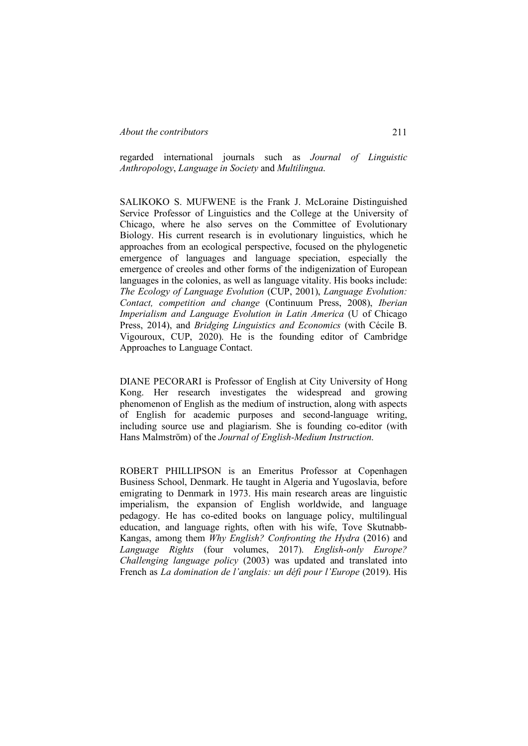regarded international journals such as *Journal of Linguistic Anthropology*, *Language in Society* and *Multilingua*.

SALIKOKO S. MUFWENE is the Frank J. McLoraine Distinguished Service Professor of Linguistics and the College at the University of Chicago, where he also serves on the Committee of Evolutionary Biology. His current research is in evolutionary linguistics, which he approaches from an ecological perspective, focused on the phylogenetic emergence of languages and language speciation, especially the emergence of creoles and other forms of the indigenization of European languages in the colonies, as well as language vitality. His books include: *The Ecology of Language Evolution* (CUP, 2001), *Language Evolution: Contact, competition and change* (Continuum Press, 2008), *Iberian Imperialism and Language Evolution in Latin America* (U of Chicago Press, 2014), and *Bridging Linguistics and Economics* (with Cécile B. Vigouroux, CUP, 2020). He is the founding editor of Cambridge Approaches to Language Contact.

DIANE PECORARI is Professor of English at City University of Hong Kong. Her research investigates the widespread and growing phenomenon of English as the medium of instruction, along with aspects of English for academic purposes and second-language writing, including source use and plagiarism. She is founding co-editor (with Hans Malmström) of the *Journal of English-Medium Instruction*.

ROBERT PHILLIPSON is an Emeritus Professor at Copenhagen Business School, Denmark. He taught in Algeria and Yugoslavia, before emigrating to Denmark in 1973. His main research areas are linguistic imperialism, the expansion of English worldwide, and language pedagogy. He has co-edited books on language policy, multilingual education, and language rights, often with his wife, Tove Skutnabb-Kangas, among them *Why English? Confronting the Hydra* (2016) and *Language Rights* (four volumes, 2017). *English-only Europe? Challenging language policy* (2003) was updated and translated into French as *La domination de l'anglais: un défi pour l'Europe* (2019). His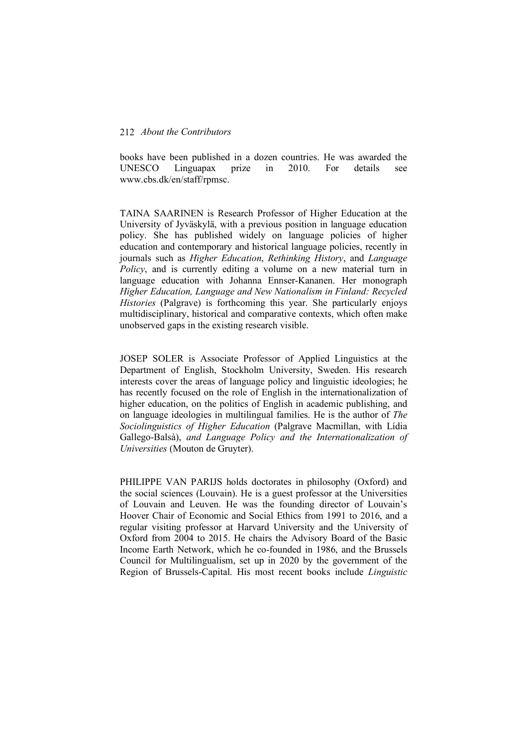books have been published in a dozen countries. He was awarded the UNESCO Linguapax prize in 2010. For details see www.cbs.dk/en/staff/rpmsc.

TAINA SAARINEN is Research Professor of Higher Education at the University of Jyväskylä, with a previous position in language education policy. She has published widely on language policies of higher education and contemporary and historical language policies, recently in journals such as *Higher Education*, *Rethinking History*, and *Language Policy*, and is currently editing a volume on a new material turn in language education with Johanna Ennser-Kananen. Her monograph *Higher Education, Language and New Nationalism in Finland: Recycled Histories* (Palgrave) is forthcoming this year. She particularly enjoys multidisciplinary, historical and comparative contexts, which often make unobserved gaps in the existing research visible.

JOSEP SOLER is Associate Professor of Applied Linguistics at the Department of English, Stockholm University, Sweden. His research interests cover the areas of language policy and linguistic ideologies; he has recently focused on the role of English in the internationalization of higher education, on the politics of English in academic publishing, and on language ideologies in multilingual families. He is the author of *The Sociolinguistics of Higher Education* (Palgrave Macmillan, with Lídia Gallego-Balsà), *and Language Policy and the Internationalization of Universities* (Mouton de Gruyter).

PHILIPPE VAN PARIJS holds doctorates in philosophy (Oxford) and the social sciences (Louvain). He is a guest professor at the Universities of Louvain and Leuven. He was the founding director of Louvain's Hoover Chair of Economic and Social Ethics from 1991 to 2016, and a regular visiting professor at Harvard University and the University of Oxford from 2004 to 2015. He chairs the Advisory Board of the Basic Income Earth Network, which he co-founded in 1986, and the Brussels Council for Multilingualism, set up in 2020 by the government of the Region of Brussels-Capital. His most recent books include *Linguistic*